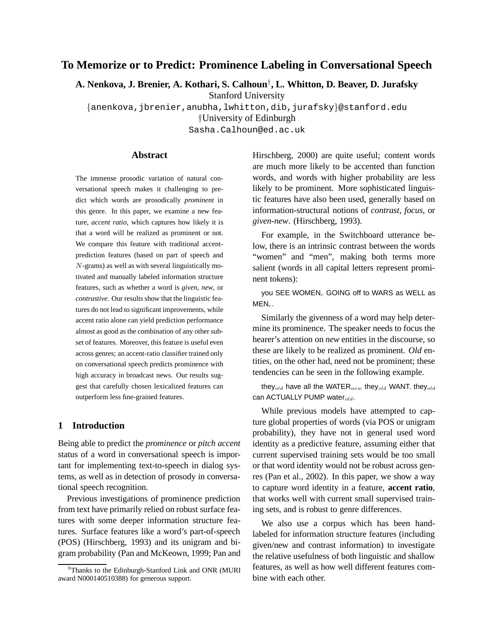# **To Memorize or to Predict: Prominence Labeling in Conversational Speech**

**A. Nenkova, J. Brenier, A. Kothari, S. Calhoun**† **, L. Whitton, D. Beaver, D. Jurafsky**

Stanford University

{anenkova,jbrenier,anubha,lwhitton,dib,jurafsky}@stanford.edu †University of Edinburgh

Sasha.Calhoun@ed.ac.uk

## **Abstract**

The immense prosodic variation of natural conversational speech makes it challenging to predict which words are prosodically *prominent* in this genre. In this paper, we examine a new feature, *accent ratio*, which captures how likely it is that a word will be realized as prominent or not. We compare this feature with traditional accentprediction features (based on part of speech and N-grams) as well as with several linguistically motivated and manually labeled information structure features, such as whether a word is *given*, *new*, or *contrastive*. Our results show that the linguistic features do not lead to significant improvements, while accent ratio alone can yield prediction performance almost as good as the combination of any other subset of features. Moreover, this feature is useful even across genres; an accent-ratio classifier trained only on conversational speech predicts prominence with high accuracy in broadcast news. Our results suggest that carefully chosen lexicalized features can outperform less fine-grained features.

# **1 Introduction**

Being able to predict the *prominence* or *pitch accent* status of a word in conversational speech is important for implementing text-to-speech in dialog systems, as well as in detection of prosody in conversational speech recognition.

Previous investigations of prominence prediction from text have primarily relied on robust surface features with some deeper information structure features. Surface features like a word's part-of-speech (POS) (Hirschberg, 1993) and its unigram and bigram probability (Pan and McKeown, 1999; Pan and Hirschberg, 2000) are quite useful; content words are much more likely to be accented than function words, and words with higher probability are less likely to be prominent. More sophisticated linguistic features have also been used, generally based on information-structural notions of *contrast*, *focus*, or *given-new*. (Hirschberg, 1993).

For example, in the Switchboard utterance below, there is an intrinsic contrast between the words "women" and "men", making both terms more salient (words in all capital letters represent prominent tokens):

you SEE WOMEN<sub>c</sub> GOING off to WARS as WELL as  $MEN<sub>c</sub>$ .

Similarly the givenness of a word may help determine its prominence. The speaker needs to focus the hearer's attention on *new* entities in the discourse, so these are likely to be realized as prominent. *Old* entities, on the other had, need not be prominent; these tendencies can be seen in the following example.

they<sub>old</sub> have all the WATER $_{new}$  they<sub>old</sub> WANT. they<sub>old</sub> can ACTUALLY PUMP water $_{old}$ .

While previous models have attempted to capture global properties of words (via POS or unigram probability), they have not in general used word identity as a predictive feature, assuming either that current supervised training sets would be too small or that word identity would not be robust across genres (Pan et al., 2002). In this paper, we show a way to capture word identity in a feature, **accent ratio**, that works well with current small supervised training sets, and is robust to genre differences.

We also use a corpus which has been handlabeled for information structure features (including given/new and contrast information) to investigate the relative usefulness of both linguistic and shallow features, as well as how well different features combine with each other.

<sup>&</sup>lt;sup>0</sup>Thanks to the Edinburgh-Stanford Link and ONR (MURI award N000140510388) for generous support.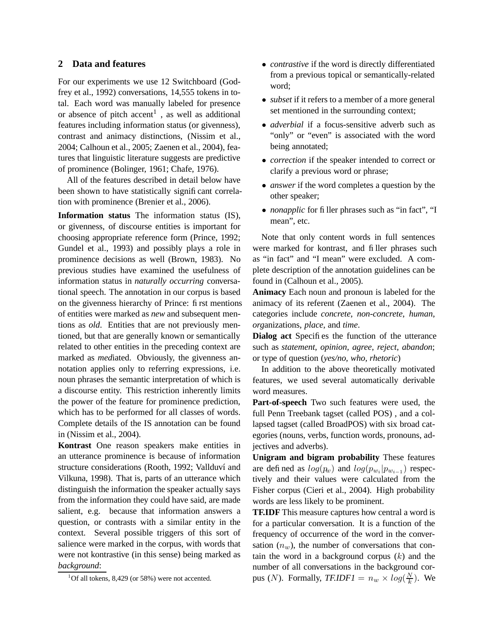## **2 Data and features**

For our experiments we use 12 Switchboard (Godfrey et al., 1992) conversations, 14,555 tokens in total. Each word was manually labeled for presence or absence of pitch  $\mathrm{accent}^1$ , as well as additional features including information status (or givenness), contrast and animacy distinctions, (Nissim et al., 2004; Calhoun et al., 2005; Zaenen et al., 2004), features that linguistic literature suggests are predictive of prominence (Bolinger, 1961; Chafe, 1976).

All of the features described in detail below have been shown to have statistically significant correlation with prominence (Brenier et al., 2006).

**Information status** The information status (IS), or givenness, of discourse entities is important for choosing appropriate reference form (Prince, 1992; Gundel et al., 1993) and possibly plays a role in prominence decisions as well (Brown, 1983). No previous studies have examined the usefulness of information status in *naturally occurring* conversational speech. The annotation in our corpus is based on the givenness hierarchy of Prince: first mentions of entities were marked as *new* and subsequent mentions as *old*. Entities that are not previously mentioned, but that are generally known or semantically related to other entities in the preceding context are marked as *med*iated. Obviously, the givenness annotation applies only to referring expressions, i.e. noun phrases the semantic interpretation of which is a discourse entity. This restriction inherently limits the power of the feature for prominence prediction, which has to be performed for all classes of words. Complete details of the IS annotation can be found in (Nissim et al., 2004).

**Kontrast** One reason speakers make entities in an utterance prominence is because of information structure considerations (Rooth, 1992; Vallduví and Vilkuna, 1998). That is, parts of an utterance which distinguish the information the speaker actually says from the information they could have said, are made salient, e.g. because that information answers a question, or contrasts with a similar entity in the context. Several possible triggers of this sort of salience were marked in the corpus, with words that were not kontrastive (in this sense) being marked as *background*:

- *contrastive* if the word is directly differentiated from a previous topical or semantically-related word;
- *subset* if it refers to a member of a more general set mentioned in the surrounding context;
- *adverbial* if a focus-sensitive adverb such as "only" or "even" is associated with the word being annotated;
- *correction* if the speaker intended to correct or clarify a previous word or phrase;
- *answer* if the word completes a question by the other speaker;
- *nonapplic* for filler phrases such as "in fact", "I mean", etc.

Note that only content words in full sentences were marked for kontrast, and filler phrases such as "in fact" and "I mean" were excluded. A complete description of the annotation guidelines can be found in (Calhoun et al., 2005).

**Animacy** Each noun and pronoun is labeled for the animacy of its referent (Zaenen et al., 2004). The categories include *concrete*, *non-concrete*, *human*, *org*anizations, *place*, and *time*.

**Dialog act** Specifies the function of the utterance such as *statement*, *opinion*, *agree*, *reject*, *abandon*; or type of question (*yes/no, who, rhetoric*)

In addition to the above theoretically motivated features, we used several automatically derivable word measures.

**Part-of-speech** Two such features were used, the full Penn Treebank tagset (called POS) , and a collapsed tagset (called BroadPOS) with six broad categories (nouns, verbs, function words, pronouns, adjectives and adverbs).

**Unigram and bigram probability** These features are defined as  $log(p_w)$  and  $log(p_{w_i}|p_{w_{i-1}})$  respectively and their values were calculated from the Fisher corpus (Cieri et al., 2004). High probability words are less likely to be prominent.

**TF.IDF** This measure captures how central a word is for a particular conversation. It is a function of the frequency of occurrence of the word in the conversation  $(n_w)$ , the number of conversations that contain the word in a background corpus  $(k)$  and the number of all conversations in the background corpus (*N*). Formally, *TF.IDF1* =  $n_w \times log(\frac{N}{k})$  $(\frac{N}{k})$ . We

 $1$ Of all tokens, 8,429 (or 58%) were not accented.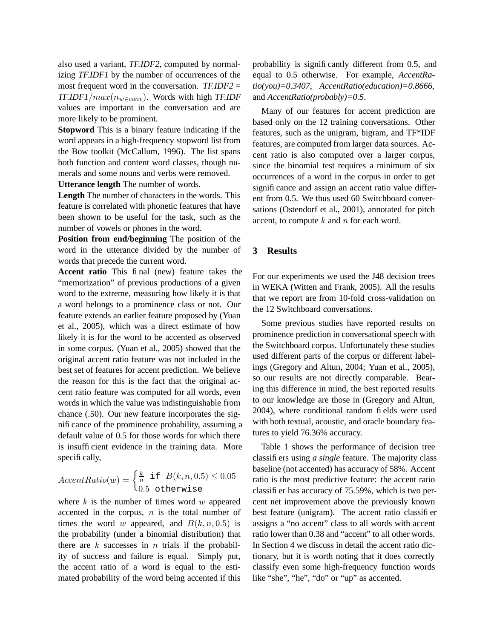also used a variant, *TF.IDF2*, computed by normalizing *TF.IDF1* by the number of occurrences of the most frequent word in the conversation. *TF.IDF2* = *TF.IDF1*/ $max(n_{w∈conv})$ . Words with high *TF.IDF* values are important in the conversation and are more likely to be prominent.

**Stopword** This is a binary feature indicating if the word appears in a high-frequency stopword list from the Bow toolkit (McCallum, 1996). The list spans both function and content word classes, though numerals and some nouns and verbs were removed. **Utterance length** The number of words.

**Length** The number of characters in the words. This feature is correlated with phonetic features that have been shown to be useful for the task, such as the number of vowels or phones in the word.

**Position from end/beginning** The position of the word in the utterance divided by the number of words that precede the current word.

**Accent ratio** This final (new) feature takes the "memorization" of previous productions of a given word to the extreme, measuring how likely it is that a word belongs to a prominence class or not. Our feature extends an earlier feature proposed by (Yuan et al., 2005), which was a direct estimate of how likely it is for the word to be accented as observed in some corpus. (Yuan et al., 2005) showed that the original accent ratio feature was not included in the best set of features for accent prediction. We believe the reason for this is the fact that the original accent ratio feature was computed for all words, even words in which the value was indistinguishable from chance (.50). Our new feature incorporates the significance of the prominence probability, assuming a default value of 0.5 for those words for which there is insufficient evidence in the training data. More specifically,

$$
AccentRatio(w) = \begin{cases} \frac{k}{n} \text{ if } B(k, n, 0.5) \le 0.05\\ 0.5 \text{ otherwise} \end{cases}
$$

where  $k$  is the number of times word  $w$  appeared accented in the corpus,  $n$  is the total number of times the word w appeared, and  $B(k, n, 0.5)$  is the probability (under a binomial distribution) that there are  $k$  successes in  $n$  trials if the probability of success and failure is equal. Simply put, the accent ratio of a word is equal to the estimated probability of the word being accented if this probability is significantly different from 0.5, and equal to 0.5 otherwise. For example, *AccentRatio(you)=0.3407*, *AccentRatio(education)=0.8666*, and *AccentRatio(probably)=0.5*.

Many of our features for accent prediction are based only on the 12 training conversations. Other features, such as the unigram, bigram, and TF\*IDF features, are computed from larger data sources. Accent ratio is also computed over a larger corpus, since the binomial test requires a minimum of six occurrences of a word in the corpus in order to get significance and assign an accent ratio value different from 0.5. We thus used 60 Switchboard conversations (Ostendorf et al., 2001), annotated for pitch accent, to compute  $k$  and  $n$  for each word.

## **3 Results**

For our experiments we used the J48 decision trees in WEKA (Witten and Frank, 2005). All the results that we report are from 10-fold cross-validation on the 12 Switchboard conversations.

Some previous studies have reported results on prominence prediction in conversational speech with the Switchboard corpus. Unfortunately these studies used different parts of the corpus or different labelings (Gregory and Altun, 2004; Yuan et al., 2005), so our results are not directly comparable. Bearing this difference in mind, the best reported results to our knowledge are those in (Gregory and Altun, 2004), where conditional random fields were used with both textual, acoustic, and oracle boundary features to yield 76.36% accuracy.

Table 1 shows the performance of decision tree classifiers using *a single* feature. The majority class baseline (not accented) has accuracy of 58%. Accent ratio is the most predictive feature: the accent ratio classifier has accuracy of 75.59%, which is two percent net improvement above the previously known best feature (unigram). The accent ratio classifier assigns a "no accent" class to all words with accent ratio lower than 0.38 and "accent" to all other words. In Section 4 we discuss in detail the accent ratio dictionary, but it is worth noting that it does correctly classify even some high-frequency function words like "she", "he", "do" or "up" as accented.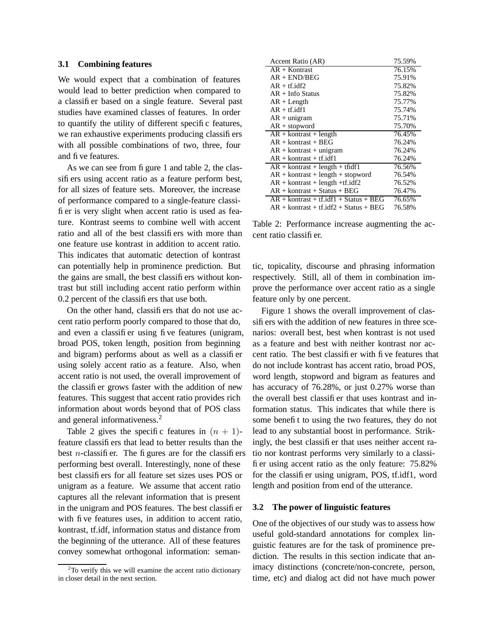## **3.1 Combining features**

We would expect that a combination of features would lead to better prediction when compared to a classifier based on a single feature. Several past studies have examined classes of features. In order to quantify the utility of different specific features, we ran exhaustive experiments producing classifiers with all possible combinations of two, three, four and five features.

As we can see from figure 1 and table 2, the classifiers using accent ratio as a feature perform best, for all sizes of feature sets. Moreover, the increase of performance compared to a single-feature classifier is very slight when accent ratio is used as feature. Kontrast seems to combine well with accent ratio and all of the best classifiers with more than one feature use kontrast in addition to accent ratio. This indicates that automatic detection of kontrast can potentially help in prominence prediction. But the gains are small, the best classifiers without kontrast but still including accent ratio perform within 0.2 percent of the classifiers that use both.

On the other hand, classifiers that do not use accent ratio perform poorly compared to those that do, and even a classifier using five features (unigram, broad POS, token length, position from beginning and bigram) performs about as well as a classifier using solely accent ratio as a feature. Also, when accent ratio is not used, the overall improvement of the classifier grows faster with the addition of new features. This suggest that accent ratio provides rich information about words beyond that of POS class and general informativeness.<sup>2</sup>

Table 2 gives the specific features in  $(n + 1)$ feature classifiers that lead to better results than the best *n*-classifier. The figures are for the classifiers performing best overall. Interestingly, none of these best classifiers for all feature set sizes uses POS or unigram as a feature. We assume that accent ratio captures all the relevant information that is present in the unigram and POS features. The best classifier with five features uses, in addition to accent ratio, kontrast, tf.idf, information status and distance from the beginning of the utterance. All of these features convey somewhat orthogonal information: seman-

| Accent Ratio (AR)                                      | 75.59% |
|--------------------------------------------------------|--------|
| $AR + Kontrast$                                        | 76.15% |
| $AR + END/BEG$                                         | 75.91% |
| $AR + tf.idf2$                                         | 75.82% |
| $AR + Inf0 Status$                                     | 75.82% |
| $AR + Length$                                          | 75.77% |
| $AR + tf.idf1$                                         | 75.74% |
| $AR + unigram$                                         | 75.71% |
| $AR +$ stopword                                        | 75.70% |
| $AR +$ kontrast + length                               | 76.45% |
| $AR +$ kontrast + BEG                                  | 76.24% |
| $AR +$ kontrast + unigram                              | 76.24% |
| $AR +$ kontrast + tf. idf1                             | 76.24% |
| $AR + \text{kontrast} + \text{length} + \text{tfidf1}$ | 76.56% |
| $AR +$ kontrast + length + stopword                    | 76.54% |
| $AR + kontrast + length + tf.idf2$                     | 76.52% |
| $AR +$ kontrast + Status + BEG                         | 76.47% |
| $AR +$ kontrast + tf.idf1 + Status + BEG               | 76.65% |
| $AR +$ kontrast + tf.idf2 + Status + BEG               | 76.58% |

Table 2: Performance increase augmenting the accent ratio classifier.

tic, topicality, discourse and phrasing information respectively. Still, all of them in combination improve the performance over accent ratio as a single feature only by one percent.

Figure 1 shows the overall improvement of classifiers with the addition of new features in three scenarios: overall best, best when kontrast is not used as a feature and best with neither kontrast nor accent ratio. The best classifier with five features that do not include kontrast has accent ratio, broad POS, word length, stopword and bigram as features and has accuracy of 76.28%, or just 0.27% worse than the overall best classifier that uses kontrast and information status. This indicates that while there is some benefit to using the two features, they do not lead to any substantial boost in performance. Strikingly, the best classifier that uses neither accent ratio nor kontrast performs very similarly to a classifier using accent ratio as the only feature: 75.82% for the classifier using unigram, POS, tf.idf1, word length and position from end of the utterance.

#### **3.2 The power of linguistic features**

One of the objectives of our study was to assess how useful gold-standard annotations for complex linguistic features are for the task of prominence prediction. The results in this section indicate that animacy distinctions (concrete/non-concrete, person, time, etc) and dialog act did not have much power

 $2$ To verify this we will examine the accent ratio dictionary in closer detail in the next section.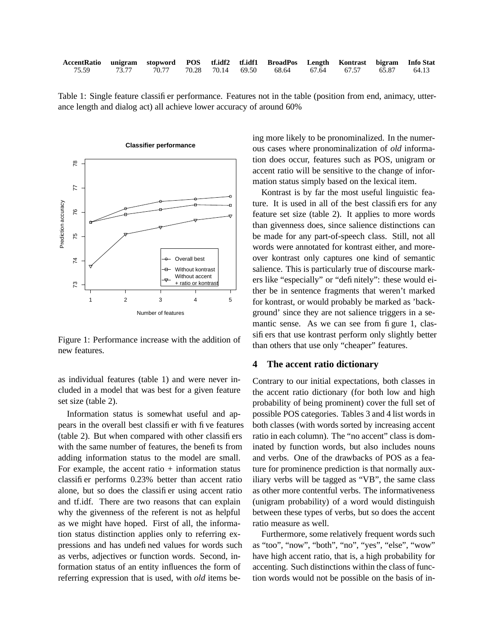| AccentRatio unigram stopword POS tf.idf2 tf.idf1 BroadPos Length Kontrast bigram Info Stat |  |  |  |  |  |
|--------------------------------------------------------------------------------------------|--|--|--|--|--|
| 75.59 73.77 70.77 70.28 70.14 69.50 68.64 67.64 67.57 65.87 64.13                          |  |  |  |  |  |

Table 1: Single feature classifier performance. Features not in the table (position from end, animacy, utterance length and dialog act) all achieve lower accuracy of around 60%



Figure 1: Performance increase with the addition of new features.

as individual features (table 1) and were never included in a model that was best for a given feature set size (table 2).

Information status is somewhat useful and appears in the overall best classifier with five features (table 2). But when compared with other classifiers with the same number of features, the benefits from adding information status to the model are small. For example, the accent ratio  $+$  information status classifier performs 0.23% better than accent ratio alone, but so does the classifier using accent ratio and tf.idf. There are two reasons that can explain why the givenness of the referent is not as helpful as we might have hoped. First of all, the information status distinction applies only to referring expressions and has undefined values for words such as verbs, adjectives or function words. Second, information status of an entity influences the form of referring expression that is used, with *old* items being more likely to be pronominalized. In the numerous cases where pronominalization of *old* information does occur, features such as POS, unigram or accent ratio will be sensitive to the change of information status simply based on the lexical item.

Kontrast is by far the most useful linguistic feature. It is used in all of the best classifiers for any feature set size (table 2). It applies to more words than givenness does, since salience distinctions can be made for any part-of-speech class. Still, not all words were annotated for kontrast either, and moreover kontrast only captures one kind of semantic salience. This is particularly true of discourse markers like "especially" or "definitely": these would either be in sentence fragments that weren't marked for kontrast, or would probably be marked as 'background' since they are not salience triggers in a semantic sense. As we can see from figure 1, classifiers that use kontrast perform only slightly better than others that use only "cheaper" features.

## **4 The accent ratio dictionary**

Contrary to our initial expectations, both classes in the accent ratio dictionary (for both low and high probability of being prominent) cover the full set of possible POS categories. Tables 3 and 4 list words in both classes (with words sorted by increasing accent ratio in each column). The "no accent" class is dominated by function words, but also includes nouns and verbs. One of the drawbacks of POS as a feature for prominence prediction is that normally auxiliary verbs will be tagged as "VB", the same class as other more contentful verbs. The informativeness (unigram probability) of a word would distinguish between these types of verbs, but so does the accent ratio measure as well.

Furthermore, some relatively frequent words such as "too", "now", "both", "no", "yes", "else", "wow" have high accent ratio, that is, a high probability for accenting. Such distinctions within the class of function words would not be possible on the basis of in-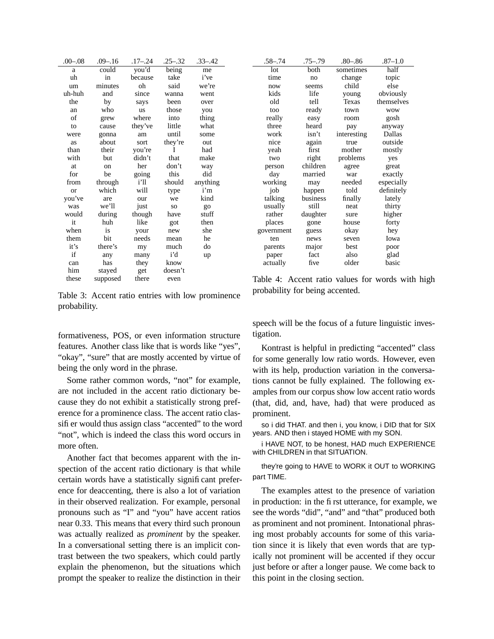| $.00 - .08$ | $.09 - .16$               | .17–.24 | $.25 - .32$ | .33–.42  |
|-------------|---------------------------|---------|-------------|----------|
| a           | $\overline{\text{could}}$ | you'd   | being       | me       |
| uh          | in                        | because | take        | i've     |
| um          | minutes                   | oh      | said        | we're    |
| uh-huh      | and                       | since   | wanna       | went     |
| the         | by                        | says    | been        | over     |
| an          | who                       | us      | those       | you      |
| of          | grew                      | where   | into        | thing    |
| to          | cause                     | they've | little      | what     |
| were        | gonna                     | am      | until       | some     |
| as          | about                     | sort    | they're     | out      |
| than        | their                     | you're  | I           | had      |
| with        | but                       | didn't  | that        | make     |
| at.         | on                        | her     | don't       | way      |
| for         | be                        | going   | this        | did      |
| from        | through                   | i'll    | should      | anything |
| or          | which                     | will    | type        | i'm      |
| you've      | are                       | our     | we          | kind     |
| was         | we'll                     | just    | SO          | go       |
| would       | during                    | though  | have        | stuff    |
| it          | huh                       | like    | got         | then     |
| when        | is                        | your    | new         | she      |
| them        | bit                       | needs   | mean        | he       |
| it's        | there's                   | my      | much        | do       |
| if          | any                       | many    | i'd         | up       |
| can         | has                       | they    | know        |          |
| him         | stayed                    | get     | doesn't     |          |
| these       | supposed                  | there   | even        |          |

Table 3: Accent ratio entries with low prominence probability.

formativeness, POS, or even information structure features. Another class like that is words like "yes", "okay", "sure" that are mostly accented by virtue of being the only word in the phrase.

Some rather common words, "not" for example, are not included in the accent ratio dictionary because they do not exhibit a statistically strong preference for a prominence class. The accent ratio classifier would thus assign class "accented" to the word "not", which is indeed the class this word occurs in more often.

Another fact that becomes apparent with the inspection of the accent ratio dictionary is that while certain words have a statistically significant preference for deaccenting, there is also a lot of variation in their observed realization. For example, personal pronouns such as "I" and "you" have accent ratios near 0.33. This means that every third such pronoun was actually realized as *prominent* by the speaker. In a conversational setting there is an implicit contrast between the two speakers, which could partly explain the phenomenon, but the situations which prompt the speaker to realize the distinction in their

| .58–.74    | .75–.79  | $.80 - .86$ | $.87 - 1.0$ |
|------------|----------|-------------|-------------|
| lot        | both     | sometimes   | half        |
| time       | no       | change      | topic       |
| now        | seems    | child       | else        |
| kids       | life     | young       | obviously   |
| old        | tell     | Texas       | themselves  |
| too        | ready    | town        | <b>WOW</b>  |
| really     | easy     | room        | gosh        |
| three      | heard    | pay         | anyway      |
| work       | isn't    | interesting | Dallas      |
| nice       | again    | true        | outside     |
| yeah       | first    | mother      | mostly      |
| two        | right    | problems    | yes         |
| person     | children | agree       | great       |
| day        | married  | war         | exactly     |
| working    | may      | needed      | especially  |
| job        | happen   | told        | definitely  |
| talking    | business | finally     | lately      |
| usually    | still    | neat        | thirty      |
| rather     | daughter | sure        | higher      |
| places     | gone     | house       | forty       |
| government | guess    | okay        | hey         |
| ten        | news     | seven       | Iowa        |
| parents    | major    | best        | poor        |
| paper      | fact     | also        | glad        |
| actually   | five     | older       | basic       |

Table 4: Accent ratio values for words with high probability for being accented.

speech will be the focus of a future linguistic investigation.

Kontrast is helpful in predicting "accented" class for some generally low ratio words. However, even with its help, production variation in the conversations cannot be fully explained. The following examples from our corpus show low accent ratio words (that, did, and, have, had) that were produced as prominent.

so i did THAT. and then i, you know, i DID that for SIX years. AND then i stayed HOME with my SON.

i HAVE NOT, to be honest, HAD much EXPERIENCE with CHILDREN in that SITUATION.

they're going to HAVE to WORK it OUT to WORKING part TIME.

The examples attest to the presence of variation in production: in the first utterance, for example, we see the words "did", "and" and "that" produced both as prominent and not prominent. Intonational phrasing most probably accounts for some of this variation since it is likely that even words that are typically not prominent will be accented if they occur just before or after a longer pause. We come back to this point in the closing section.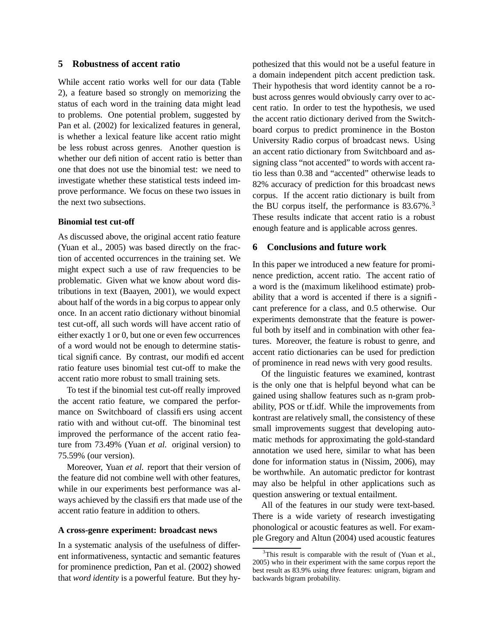## **5 Robustness of accent ratio**

While accent ratio works well for our data (Table 2), a feature based so strongly on memorizing the status of each word in the training data might lead to problems. One potential problem, suggested by Pan et al. (2002) for lexicalized features in general, is whether a lexical feature like accent ratio might be less robust across genres. Another question is whether our definition of accent ratio is better than one that does not use the binomial test: we need to investigate whether these statistical tests indeed improve performance. We focus on these two issues in the next two subsections.

### **Binomial test cut-off**

As discussed above, the original accent ratio feature (Yuan et al., 2005) was based directly on the fraction of accented occurrences in the training set. We might expect such a use of raw frequencies to be problematic. Given what we know about word distributions in text (Baayen, 2001), we would expect about half of the words in a big corpus to appear only once. In an accent ratio dictionary without binomial test cut-off, all such words will have accent ratio of either exactly 1 or 0, but one or even few occurrences of a word would not be enough to determine statistical significance. By contrast, our modified accent ratio feature uses binomial test cut-off to make the accent ratio more robust to small training sets.

To test if the binomial test cut-off really improved the accent ratio feature, we compared the performance on Switchboard of classifiers using accent ratio with and without cut-off. The binominal test improved the performance of the accent ratio feature from 73.49% (Yuan *et al.* original version) to 75.59% (our version).

Moreover, Yuan *et al.* report that their version of the feature did not combine well with other features, while in our experiments best performance was always achieved by the classifiers that made use of the accent ratio feature in addition to others.

#### **A cross-genre experiment: broadcast news**

In a systematic analysis of the usefulness of different informativeness, syntactic and semantic features for prominence prediction, Pan et al. (2002) showed that *word identity* is a powerful feature. But they hypothesized that this would not be a useful feature in a domain independent pitch accent prediction task. Their hypothesis that word identity cannot be a robust across genres would obviously carry over to accent ratio. In order to test the hypothesis, we used the accent ratio dictionary derived from the Switchboard corpus to predict prominence in the Boston University Radio corpus of broadcast news. Using an accent ratio dictionary from Switchboard and assigning class "not accented" to words with accent ratio less than 0.38 and "accented" otherwise leads to 82% accuracy of prediction for this broadcast news corpus. If the accent ratio dictionary is built from the BU corpus itself, the performance is  $83.67\%$ .<sup>3</sup> These results indicate that accent ratio is a robust enough feature and is applicable across genres.

#### **6 Conclusions and future work**

In this paper we introduced a new feature for prominence prediction, accent ratio. The accent ratio of a word is the (maximum likelihood estimate) probability that a word is accented if there is a significant preference for a class, and 0.5 otherwise. Our experiments demonstrate that the feature is powerful both by itself and in combination with other features. Moreover, the feature is robust to genre, and accent ratio dictionaries can be used for prediction of prominence in read news with very good results.

Of the linguistic features we examined, kontrast is the only one that is helpful beyond what can be gained using shallow features such as n-gram probability, POS or tf.idf. While the improvements from kontrast are relatively small, the consistency of these small improvements suggest that developing automatic methods for approximating the gold-standard annotation we used here, similar to what has been done for information status in (Nissim, 2006), may be worthwhile. An automatic predictor for kontrast may also be helpful in other applications such as question answering or textual entailment.

All of the features in our study were text-based. There is a wide variety of research investigating phonological or acoustic features as well. For example Gregory and Altun (2004) used acoustic features

 $3$ This result is comparable with the result of (Yuan et al., 2005) who in their experiment with the same corpus report the best result as 83.9% using *three* features: unigram, bigram and backwards bigram probability.